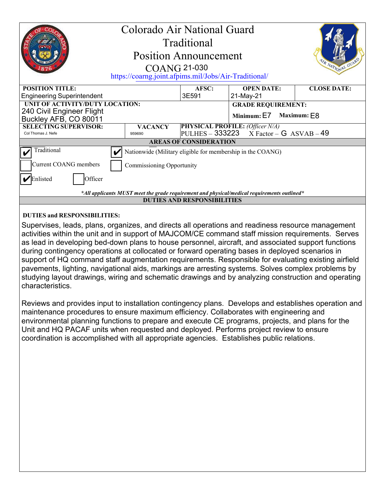|                                                                                             | Colorado Air National Guard<br><b>COANG 21-030</b><br>https://coarng.joint.afpims.mil/Jobs/Air-Traditional/ | Traditional<br><b>Position Announcement</b> |                                                                                     | R NATIONAL GUA     |  |
|---------------------------------------------------------------------------------------------|-------------------------------------------------------------------------------------------------------------|---------------------------------------------|-------------------------------------------------------------------------------------|--------------------|--|
| <b>POSITION TITLE:</b><br><b>Engineering Superintendent</b>                                 |                                                                                                             | AFSC:<br>3E591                              | <b>OPEN DATE:</b><br>21-May-21                                                      | <b>CLOSE DATE:</b> |  |
| UNIT OF ACTIVITY/DUTY LOCATION:<br>240 Civil Engineer Flight<br>Buckley AFB, CO 80011       |                                                                                                             |                                             | <b>GRADE REQUIREMENT:</b><br>Minimum: E7                                            | Maximum: $E8$      |  |
| <b>SELECTING SUPERVISOR:</b><br>Col Thomas J. Nefe                                          | <b>VACANCY</b><br>959690                                                                                    |                                             | <b>PHYSICAL PROFILE:</b> (Officer N/A)<br>PULHES - $333223$ X Factor - G ASVAB - 49 |                    |  |
| <b>AREAS OF CONSIDERATION</b>                                                               |                                                                                                             |                                             |                                                                                     |                    |  |
| Traditional                                                                                 | Nationwide (Military eligible for membership in the COANG)                                                  |                                             |                                                                                     |                    |  |
| Current COANG members                                                                       | <b>Commissioning Opportunity</b>                                                                            |                                             |                                                                                     |                    |  |
| Officer<br>'Enlisted                                                                        |                                                                                                             |                                             |                                                                                     |                    |  |
| *All applicants MUST meet the grade requirement and physical/medical requirements outlined* |                                                                                                             |                                             |                                                                                     |                    |  |
| <b>DUTIES AND RESPONSIBILITIES</b>                                                          |                                                                                                             |                                             |                                                                                     |                    |  |
|                                                                                             |                                                                                                             |                                             |                                                                                     |                    |  |

### **DUTIES and RESPONSIBILITIES:**

Supervises, leads, plans, organizes, and directs all operations and readiness resource management activities within the unit and in support of MAJCOM/CE command staff mission requirements. Serves as lead in developing bed-down plans to house personnel, aircraft, and associated support functions during contingency operations at collocated or forward operating bases in deployed scenarios in support of HQ command staff augmentation requirements. Responsible for evaluating existing airfield pavements, lighting, navigational aids, markings are arresting systems. Solves complex problems by studying layout drawings, wiring and schematic drawings and by analyzing construction and operating characteristics.

Reviews and provides input to installation contingency plans. Develops and establishes operation and maintenance procedures to ensure maximum efficiency. Collaborates with engineering and environmental planning functions to prepare and execute CE programs, projects, and plans for the Unit and HQ PACAF units when requested and deployed. Performs project review to ensure coordination is accomplished with all appropriate agencies. Establishes public relations.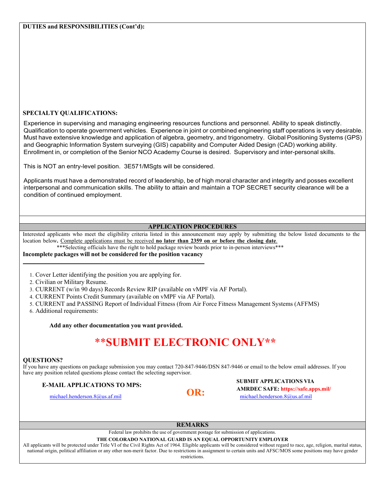### **SPECIALTY QUALIFICATIONS:**

Experience in supervising and managing engineering resources functions and personnel. Ability to speak distinctly. Qualification to operate government vehicles. Experience in joint or combined engineering staff operations is very desirable. Must have extensive knowledge and application of algebra, geometry, and trigonometry. Global Positioning Systems (GPS) and Geographic Information System surveying (GIS) capability and Computer Aided Design (CAD) working ability. Enrollment in, or completion of the Senior NCO Academy Course is desired. Supervisory and inter-personal skills.

This is NOT an entry-level position. 3E571/MSgts will be considered.

Applicants must have a demonstrated record of leadership, be of high moral character and integrity and posses excellent interpersonal and communication skills. The ability to attain and maintain a TOP SECRET security clearance will be a condition of continued employment.

### **APPLICATION PROCEDURES**

Interested applicants who meet the eligibility criteria listed in this announcement may apply by submitting the below listed documents to the location below**.** Complete applications must be received **no later than 2359 on or before the closing date**.

\*\*\*Selecting officials have the right to hold package review boards prior to in-person interviews\*\*\*

### **Incomplete packages will not be considered for the position vacancy**

- 1. Cover Letter identifying the position you are applying for.
- 2. Civilian or Military Resume.

3. CURRENT (w/in 90 days) Records Review RIP (available on vMPF via AF Portal).

4. CURRENT Points Credit Summary (available on vMPF via AF Portal).

5. CURRENT and PASSING Report of Individual Fitness (from Air Force Fitness Management Systems (AFFMS)

6. Additional requirements:

**Add any other documentation you want provided.** 

# \*\***SUBMIT ELECTRONIC ONLY\*\***

### **QUESTIONS?**

If you have any questions on package submission you may contact 720-847-9446/DSN 847-9446 or email to the below email addresses. If you have any position related questions please contact the selecting supervisor.

### E-MAIL APPLICATIONS TO MPS: **E-MAIL APPLICATIONS TO MPS: OR: AMRDEC SAFE: https://safe.apps.mil/** michael.henderson.8@us.af.mil michael.henderson.8@us.af.mil

### **REMARKS**

Federal law prohibits the use of government postage for submission of applications.

### **THE COLORADO NATIONAL GUARD IS AN EQUAL OPPORTUNITY EMPLOYER**

All applicants will be protected under Title VI of the Civil Rights Act of 1964. Eligible applicants will be considered without regard to race, age, religion, marital status, national origin, political affiliation or any other non-merit factor. Due to restrictions in assignment to certain units and AFSC/MOS some positions may have gender

### restrictions.